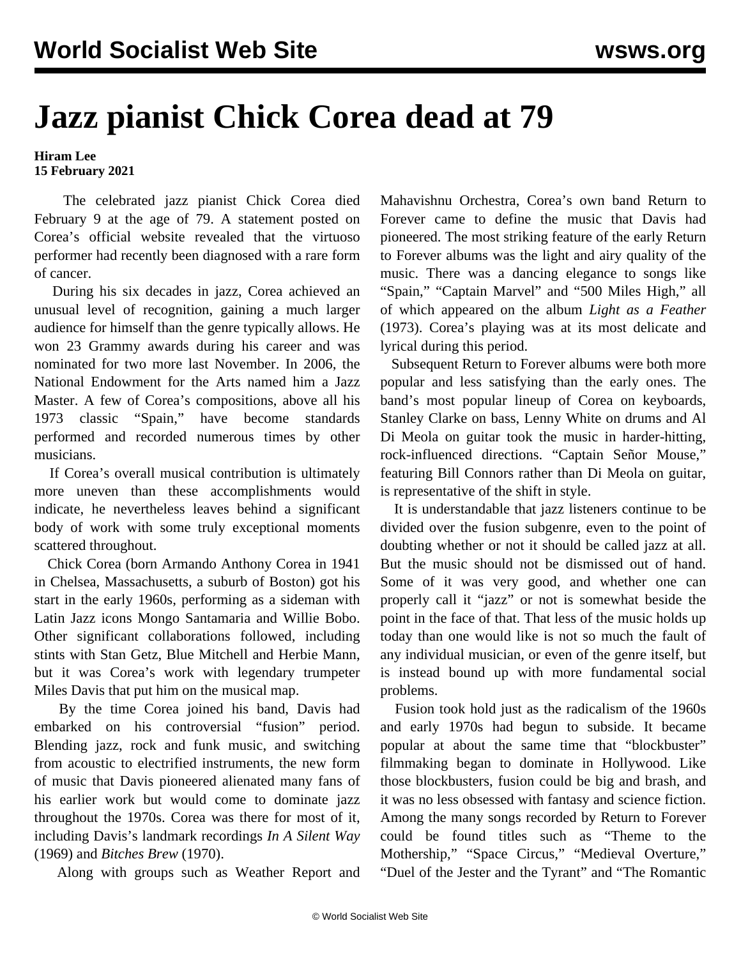## **Jazz pianist Chick Corea dead at 79**

## **Hiram Lee 15 February 2021**

 The celebrated jazz pianist Chick Corea died February 9 at the age of 79. A statement posted on Corea's official website revealed that the virtuoso performer had recently been diagnosed with a rare form of cancer.

 During his six decades in jazz, Corea achieved an unusual level of recognition, gaining a much larger audience for himself than the genre typically allows. He won 23 Grammy awards during his career and was nominated for two more last November. In 2006, the National Endowment for the Arts named him a Jazz Master. A few of Corea's compositions, above all his 1973 classic ["Spain,](https://www.youtube.com/watch?v=sEhQTjgoTdU)" have become standards performed and recorded numerous times by other musicians.

 If Corea's overall musical contribution is ultimately more uneven than these accomplishments would indicate, he nevertheless leaves behind a significant body of work with some truly exceptional moments scattered throughout.

 Chick Corea (born Armando Anthony Corea in 1941 in Chelsea, Massachusetts, a suburb of Boston) got his start in the early 1960s, performing as a sideman with Latin Jazz icons Mongo Santamaria and Willie Bobo. Other significant collaborations followed, including stints with Stan Getz, Blue Mitchell and Herbie Mann, but it was Corea's work with legendary trumpeter Miles Davis that put him on the musical map.

 By the time Corea joined his band, Davis had embarked on his controversial "fusion" period. Blending jazz, rock and funk music, and switching from acoustic to electrified instruments, the new form of music that Davis pioneered alienated many fans of his earlier work but would come to dominate jazz throughout the 1970s. Corea was there for most of it, including Davis's landmark recordings *In A Silent Way* (1969) and *Bitches Brew* (1970).

Along with groups such as Weather Report and

Mahavishnu Orchestra, Corea's own band Return to Forever came to define the music that Davis had pioneered. The most striking feature of the early Return to Forever albums was the light and airy quality of the music. There was a dancing elegance to songs like "Spain," ["Captain Marvel](https://www.youtube.com/watch?v=-yt44RrA3TQ)" and "[500 Miles High,](https://www.youtube.com/watch?v=6ZutJU5SGfk)" all of which appeared on the album *Light as a Feather* (1973). Corea's playing was at its most delicate and lyrical during this period.

 Subsequent Return to Forever albums were both more popular and less satisfying than the early ones. The band's most popular lineup of Corea on keyboards, Stanley Clarke on bass, Lenny White on drums and Al Di Meola on guitar took the music in harder-hitting, rock-influenced directions. "[Captain Señor Mouse](https://www.youtube.com/watch?v=JDTfmSMp6LE)," featuring Bill Connors rather than Di Meola on guitar, is representative of the shift in style.

 It is understandable that jazz listeners continue to be divided over the fusion subgenre, even to the point of doubting whether or not it should be called jazz at all. But the music should not be dismissed out of hand. Some of it was very good, and whether one can properly call it "jazz" or not is somewhat beside the point in the face of that. That less of the music holds up today than one would like is not so much the fault of any individual musician, or even of the genre itself, but is instead bound up with more fundamental social problems.

 Fusion took hold just as the radicalism of the 1960s and early 1970s had begun to subside. It became popular at about the same time that "blockbuster" filmmaking began to dominate in Hollywood. Like those blockbusters, fusion could be big and brash, and it was no less obsessed with fantasy and science fiction. Among the many songs recorded by Return to Forever could be found titles such as "Theme to the Mothership," "Space Circus," "Medieval Overture," "Duel of the Jester and the Tyrant" and "The Romantic